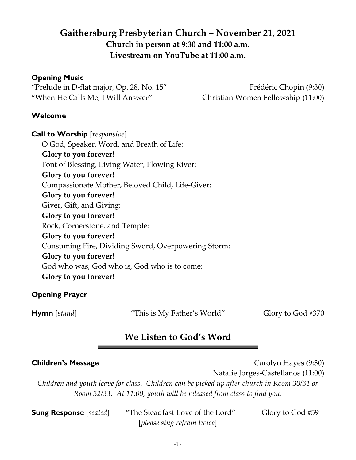# **Gaithersburg Presbyterian Church – November 21, 2021 Church in person at 9:30 and 11:00 a.m. Livestream on YouTube at 11:00 a.m.**

#### **Opening Music**

"Prelude in D-flat major, Op. 28, No. 15" Frédéric Chopin (9:30) "When He Calls Me, I Will Answer" Christian Women Fellowship (11:00)

#### **Welcome**

**Call to Worship** [*responsive*] O God, Speaker, Word, and Breath of Life: **Glory to you forever!**  Font of Blessing, Living Water, Flowing River: **Glory to you forever!**  Compassionate Mother, Beloved Child, Life-Giver: **Glory to you forever!**  Giver, Gift, and Giving: **Glory to you forever!**  Rock, Cornerstone, and Temple: **Glory to you forever!**  Consuming Fire, Dividing Sword, Overpowering Storm: **Glory to you forever!**  God who was, God who is, God who is to come: **Glory to you forever!**

### **Opening Prayer**

**Hymn** [*stand*] "This is My Father's World" Glory to God #370

# **We Listen to God's Word**

**Children's Message** Carolyn Hayes (9:30)

Natalie Jorges-Castellanos (11:00)

*Children and youth leave for class. Children can be picked up after church in Room 30/31 or Room 32/33. At 11:00, youth will be released from class to find you.* 

**Sung Response** [*seated*] "The Steadfast Love of the Lord" Glory to God #59 [*please sing refrain twice*]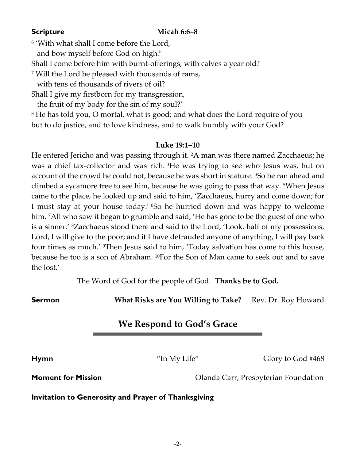#### **Scripture Micah 6:6–8**

6 'With what shall I come before the Lord,

and bow myself before God on high?

Shall I come before him with burnt-offerings, with calves a year old?

<sup>7</sup> Will the Lord be pleased with thousands of rams,

with tens of thousands of rivers of oil?

Shall I give my firstborn for my transgression,

the fruit of my body for the sin of my soul?'

<sup>8</sup> He has told you, O mortal, what is good; and what does the Lord require of you but to do justice, and to love kindness, and to walk humbly with your God?

#### **Luke 19:1–10**

He entered Jericho and was passing through it. <sup>2</sup>A man was there named Zacchaeus; he was a chief tax-collector and was rich. <sup>3</sup>He was trying to see who Jesus was, but on account of the crowd he could not, because he was short in stature. <sup>4</sup>So he ran ahead and climbed a sycamore tree to see him, because he was going to pass that way. <sup>5</sup>When Jesus came to the place, he looked up and said to him, 'Zacchaeus, hurry and come down; for I must stay at your house today.' <sup>6</sup>So he hurried down and was happy to welcome him. <sup>7</sup>All who saw it began to grumble and said, 'He has gone to be the guest of one who is a sinner.' <sup>8</sup>Zacchaeus stood there and said to the Lord, 'Look, half of my possessions, Lord, I will give to the poor; and if I have defrauded anyone of anything, I will pay back four times as much.' <sup>9</sup>Then Jesus said to him, 'Today salvation has come to this house, because he too is a son of Abraham. <sup>10</sup>For the Son of Man came to seek out and to save the lost.'

The Word of God for the people of God. **Thanks be to God.**

**Sermon** *What Risks are You Willing to Take?* Rev. Dr. Roy Howard

# **We Respond to God's Grace**

**Hymn** "In My Life" Glory to God #468

**Moment for Mission Moment for Mission Cancer Exercise Exercise Constant Carriers** Presbyterian Foundation

**Invitation to Generosity and Prayer of Thanksgiving**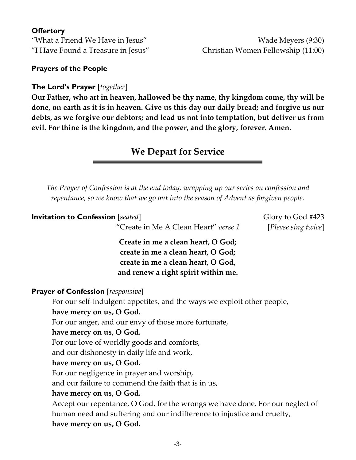#### **Offertory**

"What a Friend We Have in Jesus" New York 19:30) "I Have Found a Treasure in Jesus" Christian Women Fellowship (11:00)

#### **Prayers of the People**

#### **The Lord's Prayer** [*together*]

**Our Father, who art in heaven, hallowed be thy name, thy kingdom come, thy will be done, on earth as it is in heaven. Give us this day our daily bread; and forgive us our debts, as we forgive our debtors; and lead us not into temptation, but deliver us from evil. For thine is the kingdom, and the power, and the glory, forever. Amen.**

## **We Depart for Service**

*The Prayer of Confession is at the end today, wrapping up our series on confession and repentance, so we know that we go out into the season of Advent as forgiven people.*

| <b>Invitation to Confession</b> [seated]                                      | Glory to God #423   |
|-------------------------------------------------------------------------------|---------------------|
| "Create in Me A Clean Heart" verse 1                                          | [Please sing twice] |
| Create in me a clean heart, O God;                                            |                     |
| create in me a clean heart, O God;                                            |                     |
| create in me a clean heart, O God,                                            |                     |
| and renew a right spirit within me.                                           |                     |
| <b>Prayer of Confession</b> [responsive]                                      |                     |
| For our self-indulgent appetites, and the ways we exploit other people,       |                     |
| have mercy on us, O God.                                                      |                     |
| For our anger, and our envy of those more fortunate,                          |                     |
| have mercy on us, O God.                                                      |                     |
| For our love of worldly goods and comforts,                                   |                     |
| and our dishonesty in daily life and work,                                    |                     |
| have mercy on us, O God.                                                      |                     |
| For our negligence in prayer and worship,                                     |                     |
| and our failure to commend the faith that is in us,                           |                     |
| have mercy on us, O God.                                                      |                     |
| Accept our repentance, O God, for the wrongs we have done. For our neglect of |                     |
| human need and suffering and our indifference to injustice and cruelty,       |                     |
| have mercy on us, O God.                                                      |                     |
|                                                                               |                     |

-3-